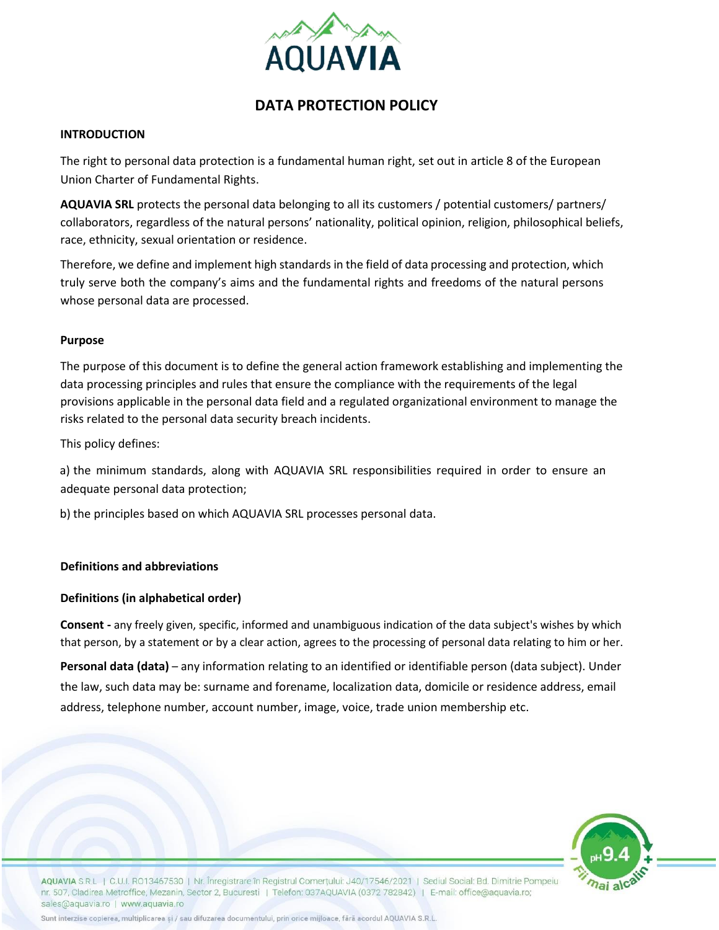

# **DATA PROTECTION POLICY**

#### **INTRODUCTION**

The right to personal data protection is a fundamental human right, set out in article 8 of the European Union Charter of Fundamental Rights.

**AQUAVIA SRL** protects the personal data belonging to all its customers / potential customers/ partners/ collaborators, regardless of the natural persons' nationality, political opinion, religion, philosophical beliefs, race, ethnicity, sexual orientation or residence.

Therefore, we define and implement high standards in the field of data processing and protection, which truly serve both the company's aims and the fundamental rights and freedoms of the natural persons whose personal data are processed.

#### **Purpose**

The purpose of this document is to define the general action framework establishing and implementing the data processing principles and rules that ensure the compliance with the requirements of the legal provisions applicable in the personal data field and a regulated organizational environment to manage the risks related to the personal data security breach incidents.

This policy defines:

a) the minimum standards, along with AQUAVIA SRL responsibilities required in order to ensure an adequate personal data protection;

b) the principles based on which AQUAVIA SRL processes personal data.

## **Definitions and abbreviations**

## **Definitions (in alphabetical order)**

**Consent -** any freely given, specific, informed and unambiguous indication of the data subject's wishes by which that person, by a statement or by a clear action, agrees to the processing of personal data relating to him or her.

**Personal data (data)** – any information relating to an identified or identifiable person (data subject). Under the law, such data may be: surname and forename, localization data, domicile or residence address, email address, telephone number, account number, image, voice, trade union membership etc.



AQUAVIA S.R.L. | C.U.I. R013467530 | Nr. Înregistrare în Registrul Comertului: J40/17546/2021 | Sediul Social: Bd. Dimitrie Pompeiu nr. 507, Cladirea Metroffice, Mezanin, Sector 2, Bucuresti | Telefon: 037AQUAVIA (0372 782842) | E-mail: office@aquavia.ro; sales@aquavia.ro | www.aquavia.ro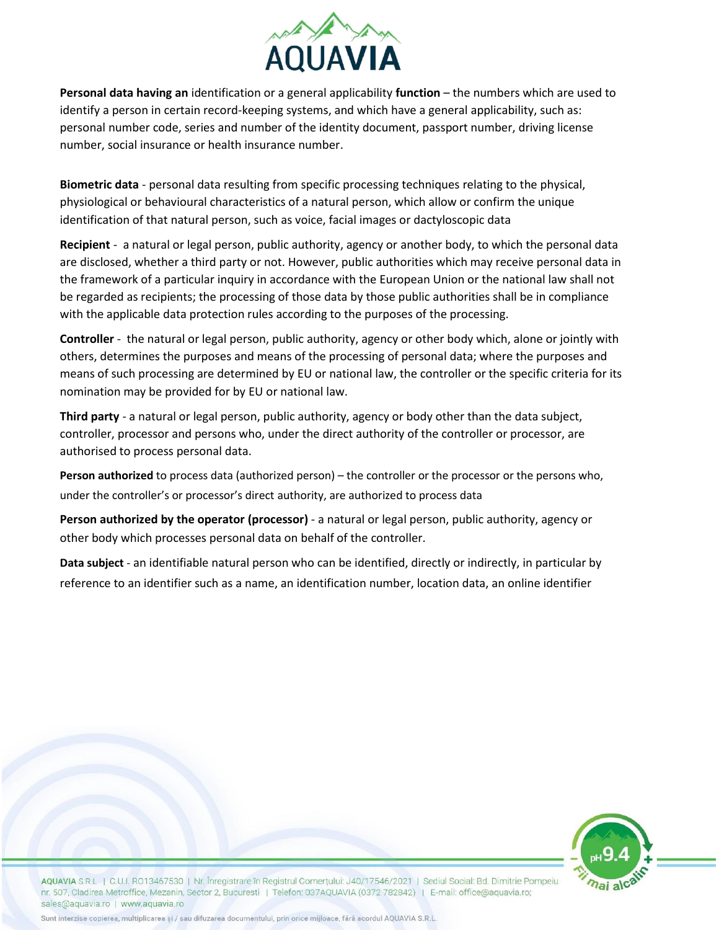

**Personal data having an** identification or a general applicability **function** – the numbers which are used to identify a person in certain record-keeping systems, and which have a general applicability, such as: personal number code, series and number of the identity document, passport number, driving license number, social insurance or health insurance number.

**Biometric data** - personal data resulting from specific processing techniques relating to the physical, physiological or behavioural characteristics of a natural person, which allow or confirm the unique identification of that natural person, such as voice, facial images or dactyloscopic data

**Recipient** - a natural or legal person, public authority, agency or another body, to which the personal data are disclosed, whether a third party or not. However, public authorities which may receive personal data in the framework of a particular inquiry in accordance with the European Union or the national law shall not be regarded as recipients; the processing of those data by those public authorities shall be in compliance with the applicable data protection rules according to the purposes of the processing.

**Controller** - the natural or legal person, public authority, agency or other body which, alone or jointly with others, determines the purposes and means of the processing of personal data; where the purposes and means of such processing are determined by EU or national law, the controller or the specific criteria for its nomination may be provided for by EU or national law.

**Third party** - a natural or legal person, public authority, agency or body other than the data subject, controller, processor and persons who, under the direct authority of the controller or processor, are authorised to process personal data.

**Person authorized** to process data (authorized person) – the controller or the processor or the persons who, under the controller's or processor's direct authority, are authorized to process data

**Person authorized by the operator (processor)** - a natural or legal person, public authority, agency or other body which processes personal data on behalf of the controller.

**Data subject** - an identifiable natural person who can be identified, directly or indirectly, in particular by reference to an identifier such as a name, an identification number, location data, an online identifier



AQUAVIA S.R.L. | C.U.I. R013467530 | Nr. Înregistrare în Registrul Comertului: J40/17546/2021 | Sediul Social: Bd. Dimitrie Pompeiu nr. 507, Cladirea Metroffice, Mezanin, Sector 2, Bucuresti | Telefon: 037AQUAVIA (0372 782842) | E-mail: office@aquavia.ro; sales@aquavia.ro | www.aquavia.ro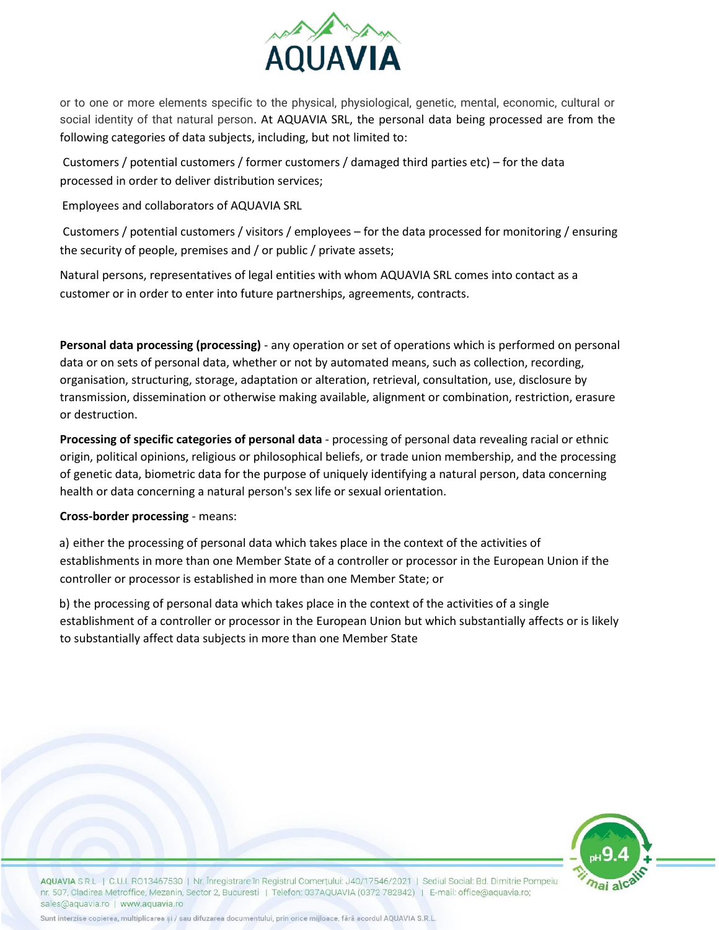

or to one or more elements specific to the physical, physiological, genetic, mental, economic, cultural or social identity of that natural person. At AQUAVIA SRL, the personal data being processed are from the following categories of data subjects, including, but not limited to:

Customers / potential customers / former customers / damaged third parties etc) – for the data processed in order to deliver distribution services;

Employees and collaborators of AQUAVIA SRL

Customers / potential customers / visitors / employees – for the data processed for monitoring / ensuring the security of people, premises and / or public / private assets;

Natural persons, representatives of legal entities with whom AQUAVIA SRL comes into contact as a customer or in order to enter into future partnerships, agreements, contracts.

**Personal data processing (processing)** - any operation or set of operations which is performed on personal data or on sets of personal data, whether or not by automated means, such as collection, recording, organisation, structuring, storage, adaptation or alteration, retrieval, consultation, use, disclosure by transmission, dissemination or otherwise making available, alignment or combination, restriction, erasure or destruction.

**Processing of specific categories of personal data** - processing of personal data revealing racial or ethnic origin, political opinions, religious or philosophical beliefs, or trade union membership, and the processing of genetic data, biometric data for the purpose of uniquely identifying a natural person, data concerning health or data concerning a natural person's sex life or sexual orientation.

## **Cross-border processing** - means:

a) either the processing of personal data which takes place in the context of the activities of establishments in more than one Member State of a controller or processor in the European Union if the controller or processor is established in more than one Member State; or

b) the processing of personal data which takes place in the context of the activities of a single establishment of a controller or processor in the European Union but which substantially affects or is likely to substantially affect data subjects in more than one Member State



AQUAVIA S.R.L. | C.U.I. RO13467530 | Nr. Înregistrare în Registrul Comertului: J40/17546/2021 | Sediul Social: Bd. Dimitrie Pompeiu nr. 507, Cladirea Metroffice, Mezanin, Sector 2, Bucuresti | Telefon: 037AQUAVIA (0372 782842) | E-mail: office@aquavia.ro; sales@aquavia.ro | www.aquavia.ro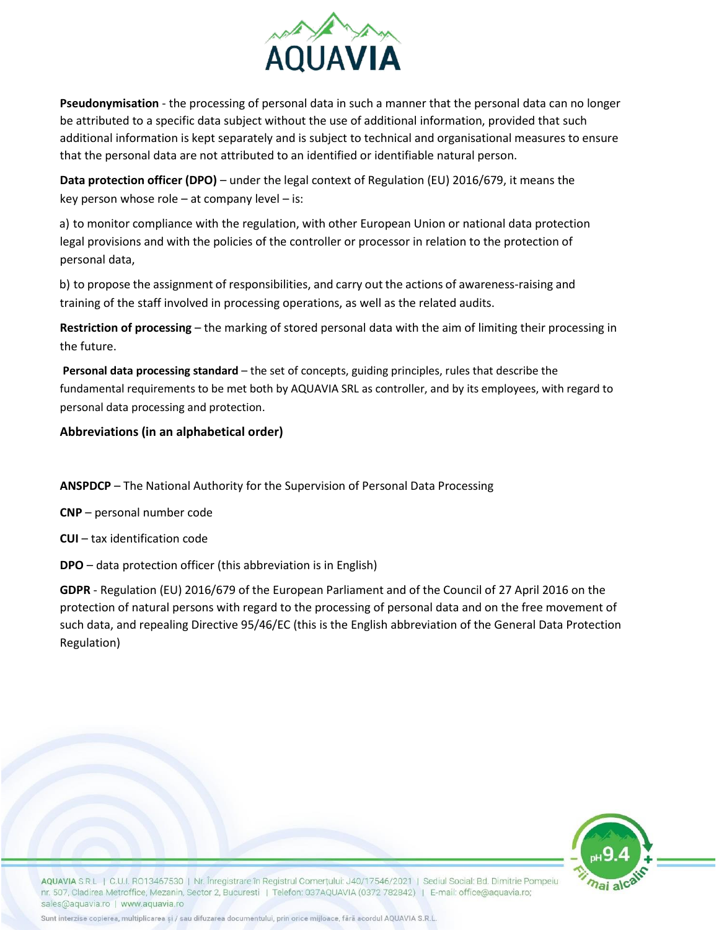

**Pseudonymisation** - the processing of personal data in such a manner that the personal data can no longer be attributed to a specific data subject without the use of additional information, provided that such additional information is kept separately and is subject to technical and organisational measures to ensure that the personal data are not attributed to an identified or identifiable natural person.

**Data protection officer (DPO)** – under the legal context of Regulation (EU) 2016/679, it means the key person whose role  $-$  at company level  $-$  is:

a) to monitor compliance with the regulation, with other European Union or national data protection legal provisions and with the policies of the controller or processor in relation to the protection of personal data,

b) to propose the assignment of responsibilities, and carry out the actions of awareness-raising and training of the staff involved in processing operations, as well as the related audits.

**Restriction of processing** – the marking of stored personal data with the aim of limiting their processing in the future.

**Personal data processing standard** – the set of concepts, guiding principles, rules that describe the fundamental requirements to be met both by AQUAVIA SRL as controller, and by its employees, with regard to personal data processing and protection.

# **Abbreviations (in an alphabetical order)**

**ANSPDCP** – The National Authority for the Supervision of Personal Data Processing

**CNP** – personal number code

**CUI** – tax identification code

**DPO** – data protection officer (this abbreviation is in English)

**GDPR** - Regulation (EU) 2016/679 of the European Parliament and of the Council of 27 April 2016 on the protection of natural persons with regard to the processing of personal data and on the free movement of such data, and repealing Directive 95/46/EC (this is the English abbreviation of the General Data Protection Regulation)



AQUAVIA S.R.L. | C.U.I. R013467530 | Nr. Înregistrare în Registrul Comertului: J40/17546/2021 | Sediul Social: Bd. Dimitrie Pompeiu nr. 507, Cladirea Metroffice, Mezanin, Sector 2, Bucuresti | Telefon: 037AQUAVIA (0372 782842) | E-mail: office@aquavia.ro; sales@aquavia.ro | www.aquavia.ro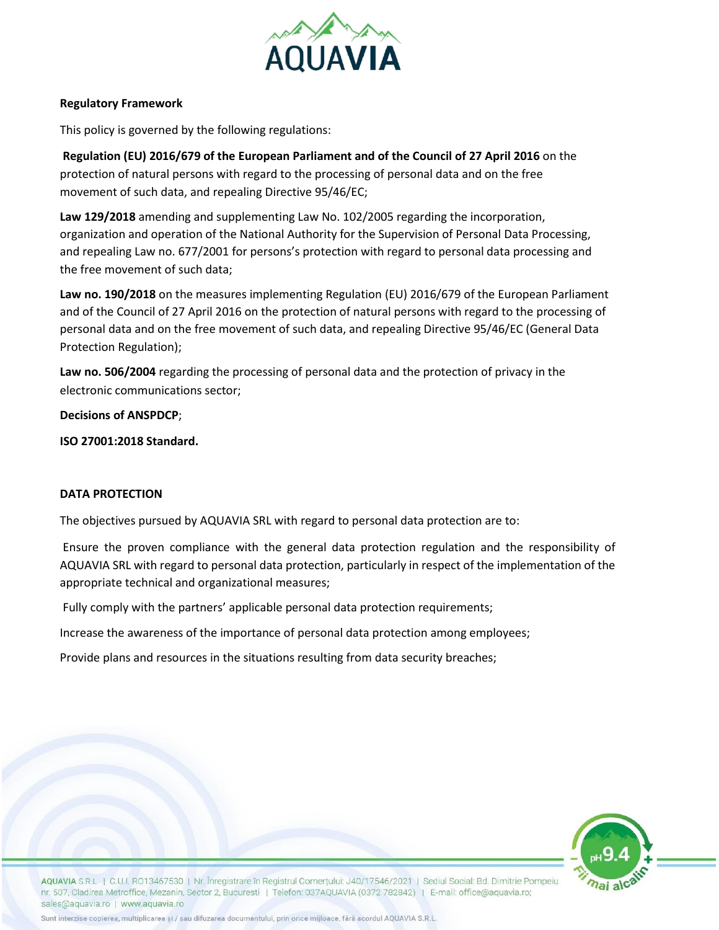

#### **Regulatory Framework**

This policy is governed by the following regulations:

**Regulation (EU) 2016/679 of the European Parliament and of the Council of 27 April 2016** on the protection of natural persons with regard to the processing of personal data and on the free movement of such data, and repealing Directive 95/46/EC;

**Law 129/2018** amending and supplementing Law No. 102/2005 regarding the incorporation, organization and operation of the National Authority for the Supervision of Personal Data Processing, and repealing Law no. 677/2001 for persons's protection with regard to personal data processing and the free movement of such data;

**Law no. 190/2018** on the measures implementing Regulation (EU) 2016/679 of the European Parliament and of the Council of 27 April 2016 on the protection of natural persons with regard to the processing of personal data and on the free movement of such data, and repealing Directive 95/46/EC (General Data Protection Regulation);

**Law no. 506/2004** regarding the processing of personal data and the protection of privacy in the electronic communications sector;

**Decisions of ANSPDCP**;

**ISO 27001:2018 Standard.**

#### **DATA PROTECTION**

The objectives pursued by AQUAVIA SRL with regard to personal data protection are to:

Ensure the proven compliance with the general data protection regulation and the responsibility of AQUAVIA SRL with regard to personal data protection, particularly in respect of the implementation of the appropriate technical and organizational measures;

Fully comply with the partners' applicable personal data protection requirements;

Increase the awareness of the importance of personal data protection among employees;

Provide plans and resources in the situations resulting from data security breaches;



AQUAVIA S.R.L. | C.U.I. R013467530 | Nr. Înregistrare în Registrul Comertului: J40/17546/2021 | Sediul Social: Bd. Dimitrie Pompeiu nr. 507, Cladirea Metroffice, Mezanin, Sector 2, Bucuresti | Telefon: 037AQUAVIA (0372 782842) | E-mail: office@aquavia.ro; sales@aquavia.ro | www.aquavia.ro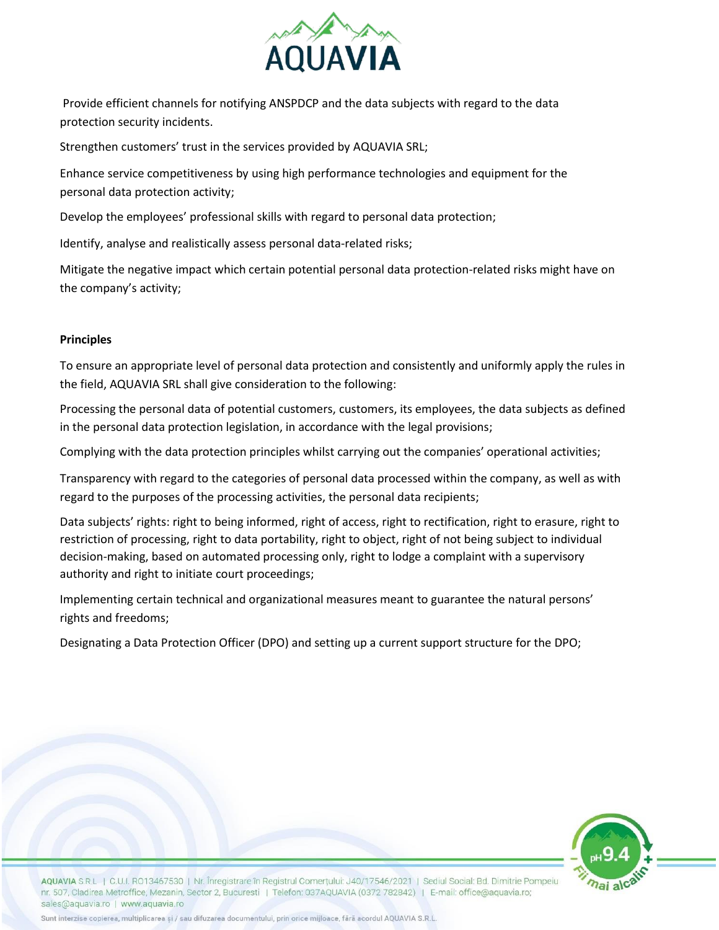

Provide efficient channels for notifying ANSPDCP and the data subjects with regard to the data protection security incidents.

Strengthen customers' trust in the services provided by AQUAVIA SRL;

Enhance service competitiveness by using high performance technologies and equipment for the personal data protection activity;

Develop the employees' professional skills with regard to personal data protection;

Identify, analyse and realistically assess personal data-related risks;

Mitigate the negative impact which certain potential personal data protection-related risks might have on the company's activity;

# **Principles**

To ensure an appropriate level of personal data protection and consistently and uniformly apply the rules in the field, AQUAVIA SRL shall give consideration to the following:

Processing the personal data of potential customers, customers, its employees, the data subjects as defined in the personal data protection legislation, in accordance with the legal provisions;

Complying with the data protection principles whilst carrying out the companies' operational activities;

Transparency with regard to the categories of personal data processed within the company, as well as with regard to the purposes of the processing activities, the personal data recipients;

Data subjects' rights: right to being informed, right of access, right to rectification, right to erasure, right to restriction of processing, right to data portability, right to object, right of not being subject to individual decision-making, based on automated processing only, right to lodge a complaint with a supervisory authority and right to initiate court proceedings;

Implementing certain technical and organizational measures meant to guarantee the natural persons' rights and freedoms;

Designating a Data Protection Officer (DPO) and setting up a current support structure for the DPO;



AQUAVIA S.R.L. | C.U.I. R013467530 | Nr. Înregistrare în Registrul Comertului: J40/17546/2021 | Sediul Social: Bd. Dimitrie Pompeiu nr. 507, Cladirea Metroffice, Mezanin, Sector 2, Bucuresti | Telefon: 037AQUAVIA (0372 782842) | E-mail: office@aquavia.ro; sales@aquavia.ro | www.aquavia.ro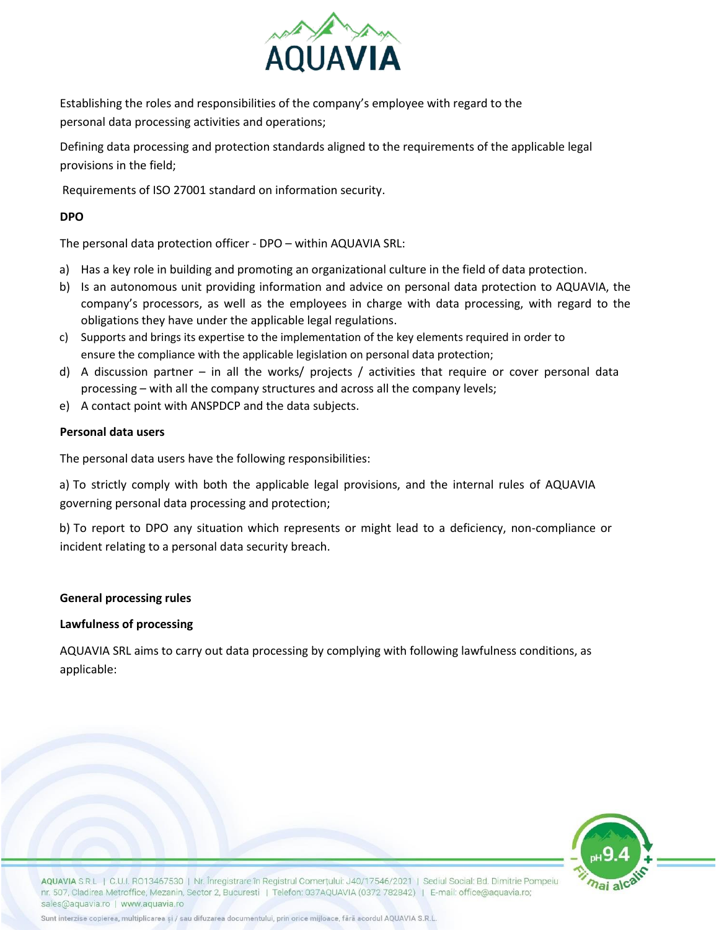

Establishing the roles and responsibilities of the company's employee with regard to the personal data processing activities and operations;

Defining data processing and protection standards aligned to the requirements of the applicable legal provisions in the field;

Requirements of ISO 27001 standard on information security.

# **DPO**

The personal data protection officer - DPO – within AQUAVIA SRL:

- a) Has a key role in building and promoting an organizational culture in the field of data protection.
- b) Is an autonomous unit providing information and advice on personal data protection to AQUAVIA, the company's processors, as well as the employees in charge with data processing, with regard to the obligations they have under the applicable legal regulations.
- c) Supports and brings its expertise to the implementation of the key elements required in order to ensure the compliance with the applicable legislation on personal data protection;
- d) A discussion partner in all the works/ projects / activities that require or cover personal data processing – with all the company structures and across all the company levels;
- e) A contact point with ANSPDCP and the data subjects.

# **Personal data users**

The personal data users have the following responsibilities:

a) To strictly comply with both the applicable legal provisions, and the internal rules of AQUAVIA governing personal data processing and protection;

b) To report to DPO any situation which represents or might lead to a deficiency, non-compliance or incident relating to a personal data security breach.

## **General processing rules**

## **Lawfulness of processing**

AQUAVIA SRL aims to carry out data processing by complying with following lawfulness conditions, as applicable:



AQUAVIA S.R.L. | C.U.I. R013467530 | Nr. Înregistrare în Registrul Comertului: J40/17546/2021 | Sediul Social: Bd. Dimitrie Pompeiu nr. 507, Cladirea Metroffice, Mezanin, Sector 2, Bucuresti | Telefon: 037AQUAVIA (0372 782842) | E-mail: office@aquavia.ro; sales@aquavia.ro | www.aquavia.ro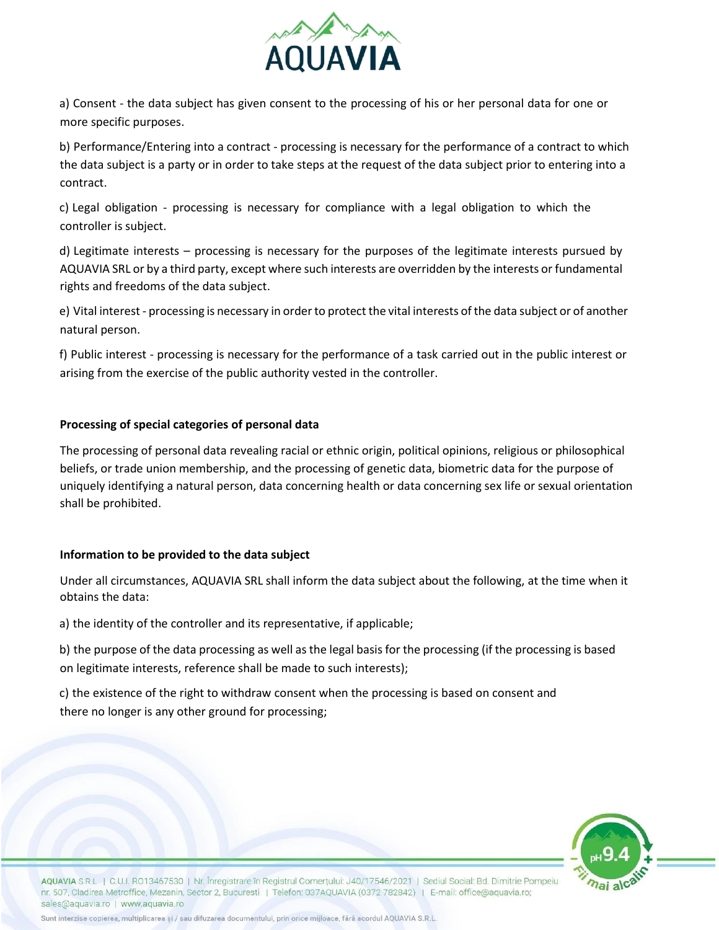

a) Consent - the data subject has given consent to the processing of his or her personal data for one or more specific purposes.

b) Performance/Entering into a contract - processing is necessary for the performance of a contract to which the data subject is a party or in order to take steps at the request of the data subject prior to entering into a contract.

c) Legal obligation - processing is necessary for compliance with a legal obligation to which the controller is subject.

d) Legitimate interests – processing is necessary for the purposes of the legitimate interests pursued by AQUAVIA SRL or by a third party, except where such interests are overridden by the interests or fundamental rights and freedoms of the data subject.

e) Vital interest - processing is necessary in order to protect the vital interests of the data subject or of another natural person.

f) Public interest - processing is necessary for the performance of a task carried out in the public interest or arising from the exercise of the public authority vested in the controller.

# **Processing of special categories of personal data**

The processing of personal data revealing racial or ethnic origin, political opinions, religious or philosophical beliefs, or trade union membership, and the processing of genetic data, biometric data for the purpose of uniquely identifying a natural person, data concerning health or data concerning sex life or sexual orientation shall be prohibited.

## **Information to be provided to the data subject**

Under all circumstances, AQUAVIA SRL shall inform the data subject about the following, at the time when it obtains the data:

a) the identity of the controller and its representative, if applicable;

b) the purpose of the data processing as well as the legal basis for the processing (if the processing is based on legitimate interests, reference shall be made to such interests);

c) the existence of the right to withdraw consent when the processing is based on consent and there no longer is any other ground for processing;



AQUAVIA S.R.L. | C.U.I. RO13467530 | Nr. Înregistrare în Registrul Comertului: J40/17546/2021 | Sediul Social: Bd. Dimitrie Pompeiu nr. 507, Cladirea Metroffice, Mezanin, Sector 2, Bucuresti | Telefon: 037AQUAVIA (0372 782842) | E-mail: office@aquavia.ro; sales@aquavia.ro | www.aquavia.ro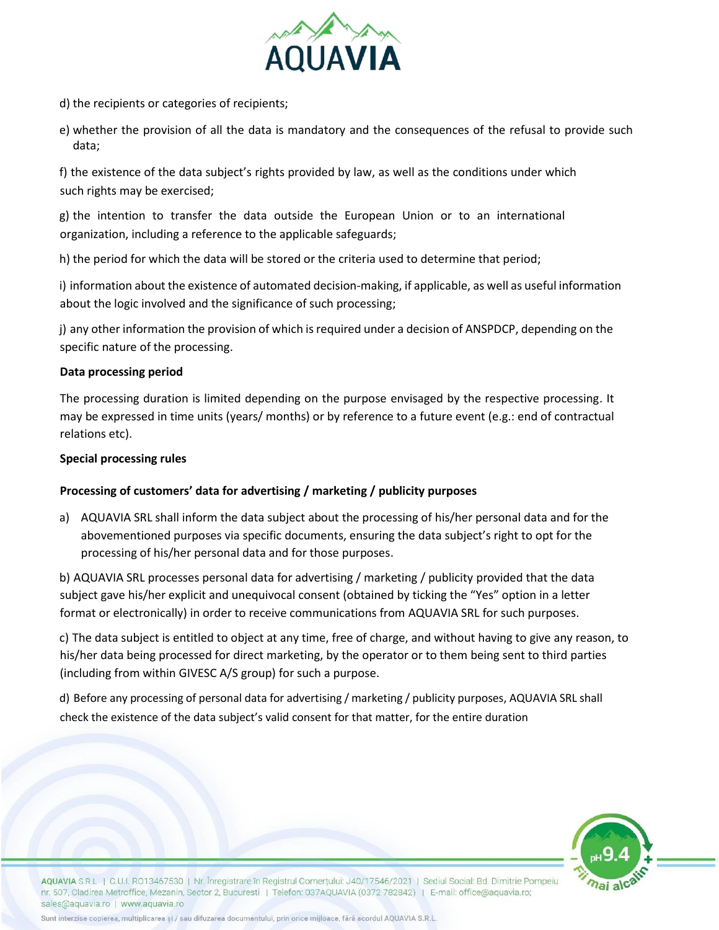

- d) the recipients or categories of recipients;
- e) whether the provision of all the data is mandatory and the consequences of the refusal to provide such data;

f) the existence of the data subject's rights provided by law, as well as the conditions under which such rights may be exercised;

g) the intention to transfer the data outside the European Union or to an international organization, including a reference to the applicable safeguards;

h) the period for which the data will be stored or the criteria used to determine that period;

i) information about the existence of automated decision-making, if applicable, as well as useful information about the logic involved and the significance of such processing;

j) any other information the provision of which is required under a decision of ANSPDCP, depending on the specific nature of the processing.

## **Data processing period**

The processing duration is limited depending on the purpose envisaged by the respective processing. It may be expressed in time units (years/ months) or by reference to a future event (e.g.: end of contractual relations etc).

#### **Special processing rules**

## **Processing of customers' data for advertising / marketing / publicity purposes**

a) AQUAVIA SRL shall inform the data subject about the processing of his/her personal data and for the abovementioned purposes via specific documents, ensuring the data subject's right to opt for the processing of his/her personal data and for those purposes.

b) AQUAVIA SRL processes personal data for advertising / marketing / publicity provided that the data subject gave his/her explicit and unequivocal consent (obtained by ticking the "Yes" option in a letter format or electronically) in order to receive communications from AQUAVIA SRL for such purposes.

c) The data subject is entitled to object at any time, free of charge, and without having to give any reason, to his/her data being processed for direct marketing, by the operator or to them being sent to third parties (including from within GIVESC A/S group) for such a purpose.

d) Before any processing of personal data for advertising / marketing / publicity purposes, AQUAVIA SRL shall check the existence of the data subject's valid consent for that matter, for the entire duration



AQUAVIA S.R.L. | C.U.I. RO13467530 | Nr. Înregistrare în Registrul Comertului: J40/17546/2021 | Sediul Social: Bd. Dimitrie Pompeiu nr. 507, Cladirea Metroffice, Mezanin, Sector 2, Bucuresti | Telefon: 037AQUAVIA (0372 782842) | E-mail: office@aquavia.ro; sales@aquavia.ro | www.aquavia.ro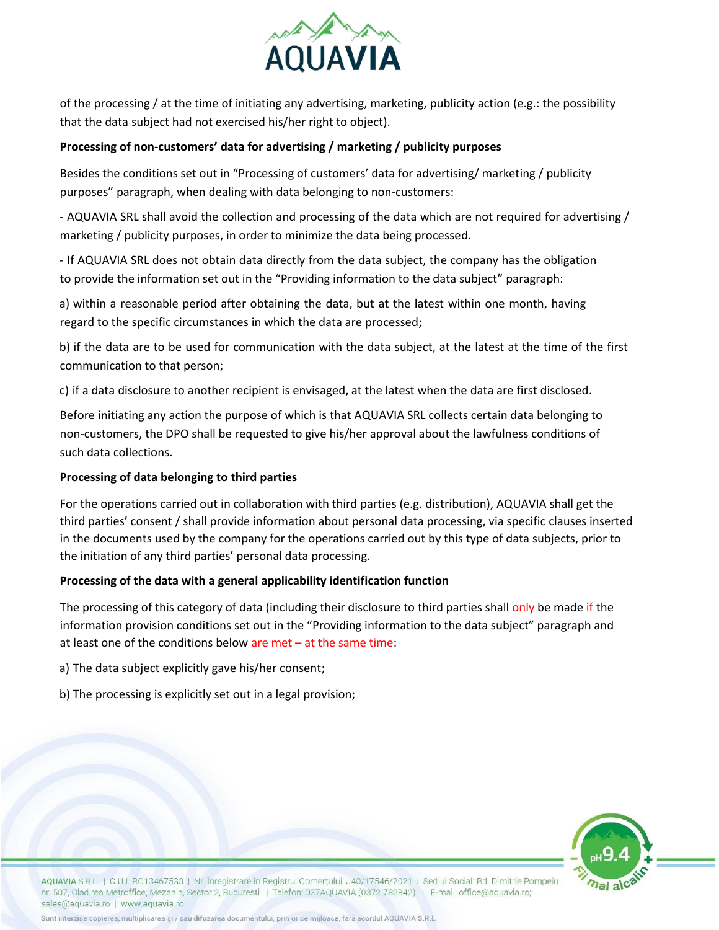

of the processing / at the time of initiating any advertising, marketing, publicity action (e.g.: the possibility that the data subject had not exercised his/her right to object).

## **Processing of non-customers' data for advertising / marketing / publicity purposes**

Besides the conditions set out in "Processing of customers' data for advertising/ marketing / publicity purposes" paragraph, when dealing with data belonging to non-customers:

- AQUAVIA SRL shall avoid the collection and processing of the data which are not required for advertising / marketing / publicity purposes, in order to minimize the data being processed.

- If AQUAVIA SRL does not obtain data directly from the data subject, the company has the obligation to provide the information set out in the "Providing information to the data subject" paragraph:

a) within a reasonable period after obtaining the data, but at the latest within one month, having regard to the specific circumstances in which the data are processed;

b) if the data are to be used for communication with the data subject, at the latest at the time of the first communication to that person;

c) if a data disclosure to another recipient is envisaged, at the latest when the data are first disclosed.

Before initiating any action the purpose of which is that AQUAVIA SRL collects certain data belonging to non-customers, the DPO shall be requested to give his/her approval about the lawfulness conditions of such data collections.

## **Processing of data belonging to third parties**

For the operations carried out in collaboration with third parties (e.g. distribution), AQUAVIA shall get the third parties' consent / shall provide information about personal data processing, via specific clauses inserted in the documents used by the company for the operations carried out by this type of data subjects, prior to the initiation of any third parties' personal data processing.

# **Processing of the data with a general applicability identification function**

The processing of this category of data (including their disclosure to third parties shall only be made if the information provision conditions set out in the "Providing information to the data subject" paragraph and at least one of the conditions below are met – at the same time:

a) The data subject explicitly gave his/her consent;

b) The processing is explicitly set out in a legal provision;



AQUAVIA S.R.L | C.U.I. RO13467530 | Nr. Înregistrare în Registrul Comertului: J40/17546/2021 | Sediul Social: Bd. Dimitrie Pompeiu nr. 507, Cladirea Metroffice, Mezanin, Sector 2, Bucuresti | Telefon: 037AQUAVIA (0372 782842) | E-mail: office@aquavia.ro; sales@aquavia.ro | www.aquavia.ro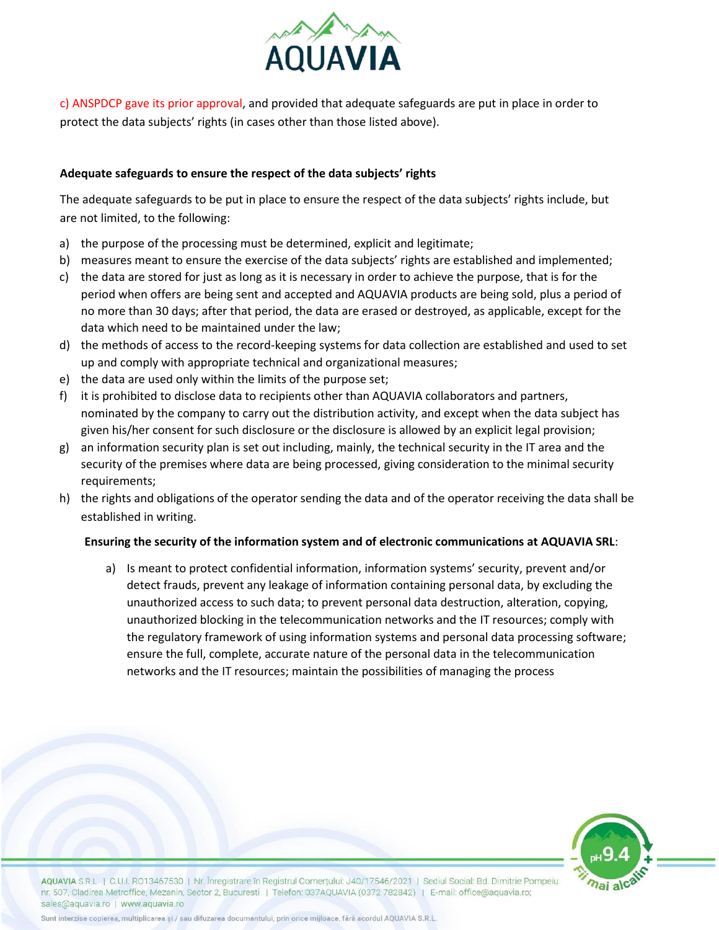

c) ANSPDCP gave its prior approval, and provided that adequate safeguards are put in place in order to protect the data subjects' rights (in cases other than those listed above).

## **Adequate safeguards to ensure the respect of the data subjects' rights**

The adequate safeguards to be put in place to ensure the respect of the data subjects' rights include, but are not limited, to the following:

- a) the purpose of the processing must be determined, explicit and legitimate;
- b) measures meant to ensure the exercise of the data subjects' rights are established and implemented;
- c) the data are stored for just as long as it is necessary in order to achieve the purpose, that is for the period when offers are being sent and accepted and AQUAVIA products are being sold, plus a period of no more than 30 days; after that period, the data are erased or destroyed, as applicable, except for the data which need to be maintained under the law;
- d) the methods of access to the record-keeping systems for data collection are established and used to set up and comply with appropriate technical and organizational measures;
- e) the data are used only within the limits of the purpose set;
- f) it is prohibited to disclose data to recipients other than AQUAVIA collaborators and partners, nominated by the company to carry out the distribution activity, and except when the data subject has given his/her consent for such disclosure or the disclosure is allowed by an explicit legal provision;
- g) an information security plan is set out including, mainly, the technical security in the IT area and the security of the premises where data are being processed, giving consideration to the minimal security requirements;
- h) the rights and obligations of the operator sending the data and of the operator receiving the data shall be established in writing.

## **Ensuring the security of the information system and of electronic communications at AQUAVIA SRL**:

a) Is meant to protect confidential information, information systems' security, prevent and/or detect frauds, prevent any leakage of information containing personal data, by excluding the unauthorized access to such data; to prevent personal data destruction, alteration, copying, unauthorized blocking in the telecommunication networks and the IT resources; comply with the regulatory framework of using information systems and personal data processing software; ensure the full, complete, accurate nature of the personal data in the telecommunication networks and the IT resources; maintain the possibilities of managing the process



AQUAVIA S.R.L | C.U.I. RO13467530 | Nr. Înregistrare în Registrul Comertului: J40/17546/2021 | Sediul Social: Bd. Dimitrie Pompeiu nr. 507, Cladirea Metroffice, Mezanin, Sector 2, Bucuresti | Telefon: 037AQUAVIA (0372 782842) | E-mail: office@aquavia.ro; sales@aquavia.ro | www.aquavia.ro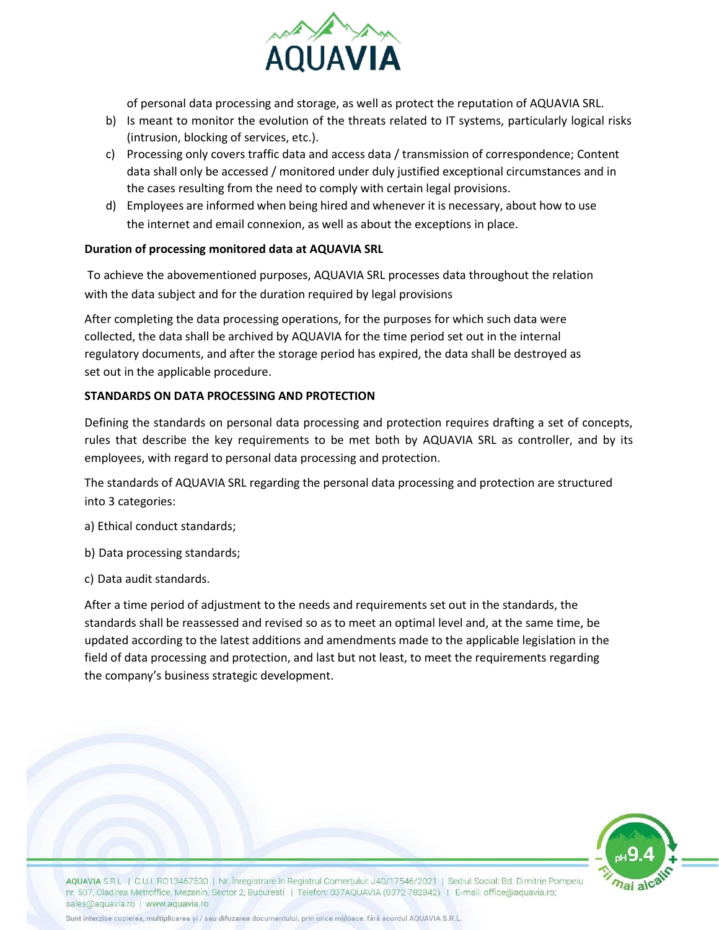

of personal data processing and storage, as well as protect the reputation of AQUAVIA SRL.

- b) Is meant to monitor the evolution of the threats related to IT systems, particularly logical risks (intrusion, blocking of services, etc.).
- c) Processing only covers traffic data and access data / transmission of correspondence; Content data shall only be accessed / monitored under duly justified exceptional circumstances and in the cases resulting from the need to comply with certain legal provisions.
- d) Employees are informed when being hired and whenever it is necessary, about how to use the internet and email connexion, as well as about the exceptions in place.

# **Duration of processing monitored data at AQUAVIA SRL**

To achieve the abovementioned purposes, AQUAVIA SRL processes data throughout the relation with the data subject and for the duration required by legal provisions

After completing the data processing operations, for the purposes for which such data were collected, the data shall be archived by AQUAVIA for the time period set out in the internal regulatory documents, and after the storage period has expired, the data shall be destroyed as set out in the applicable procedure.

## **STANDARDS ON DATA PROCESSING AND PROTECTION**

Defining the standards on personal data processing and protection requires drafting a set of concepts, rules that describe the key requirements to be met both by AQUAVIA SRL as controller, and by its employees, with regard to personal data processing and protection.

The standards of AQUAVIA SRL regarding the personal data processing and protection are structured into 3 categories:

a) Ethical conduct standards;

b) Data processing standards;

c) Data audit standards.

After a time period of adjustment to the needs and requirements set out in the standards, the standards shall be reassessed and revised so as to meet an optimal level and, at the same time, be updated according to the latest additions and amendments made to the applicable legislation in the field of data processing and protection, and last but not least, to meet the requirements regarding the company's business strategic development.



AQUAVIA S.R.L. | C.U.I. RO13467530 | Nr. Înregistrare în Registrul Comertului: J40/17546/2021 | Sediul Social: Bd. Dimitrie Pompeiu nr. 507, Cladirea Metroffice, Mezanin, Sector 2, Bucuresti | Telefon: 037AQUAVIA (0372 782842) | E-mail: office@aquavia.ro; sales@aquavia.ro | www.aquavia.ro